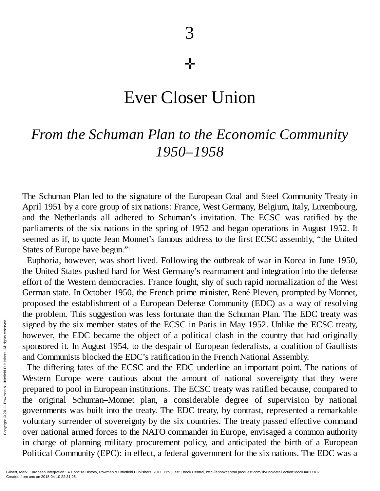# Ever Closer Union

# *From the Schuman Plan to the Economic Community 1950–1958*

The Schuman Plan led to the signature of the European Coal and Steel Community Treaty in April 1951 by a core group of six nations: France, West Germany, Belgium, Italy, Luxembourg, and the Netherlands all adhered to Schuman's invitation. The ECSC was ratified by the parliaments of the six nations in the spring of 1952 and began operations in August 1952. It seemed as if, to quote Jean Monnet's famous address to the first ECSC assembly, "the United States of Europe have begun."<sup>1</sup>

Euphoria, however, was short lived. Following the outbreak of war in Korea in June 1950, the United States pushed hard for West Germany's rearmament and integration into the defense effort of the Western democracies. France fought, shy of such rapid normalization of the West German state. In October 1950, the French prime minister, René Pleven, prompted by Monnet, proposed the establishment of a European Defense Community (EDC) as a way of resolving the problem. This suggestion was less fortunate than the Schuman Plan. The EDC treaty was signed by the six member states of the ECSC in Paris in May 1952. Unlike the ECSC treaty, however, the EDC became the object of a political clash in the country that had originally sponsored it. In August 1954, to the despair of European federalists, a coalition of Gaullists and Communists blocked the EDC's ratification in the French National Assembly.

The differing fates of the ECSC and the EDC underline an important point. The nations of Western Europe were cautious about the amount of national sovereignty that they were prepared to pool in European institutions. The ECSC treaty was ratified because, compared to the original Schuman–Monnet plan, a considerable degree of supervision by national governments was built into the treaty. The EDC treaty, by contrast, represented a remarkable voluntary surrender of sovereignty by the six countries. The treaty passed effective command over national armed forces to the NATO commander in Europe, envisaged a common authority in charge of planning military procurement policy, and anticipated the birth of a European Political Community (EPC): in effect, a federal government for the six nations. The EDC was a Signed by the s<br>
however, the E<br>
sponsored it. Ir<br>
and Communist<br>
The differing<br>
Western Europ<br>
prepared to poor<br>
the original S<br>
governments w<br>
voluntary surre<br>
over national al<br>
in charge of pl<br>
Political Comm<br>
Politica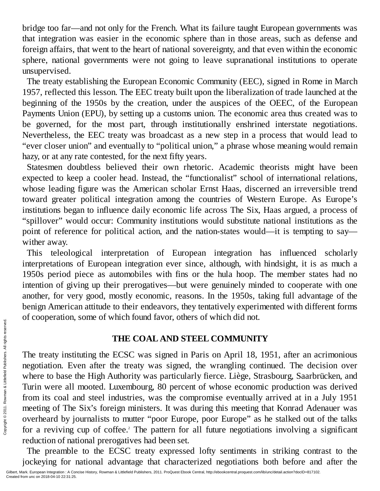bridge too far—and not only for the French. What its failure taught European governments was that integration was easier in the economic sphere than in those areas, such as defense and foreign affairs, that went to the heart of national sovereignty, and that even within the economic sphere, national governments were not going to leave supranational institutions to operate unsupervised.

The treaty establishing the European Economic Community (EEC), signed in Rome in March 1957, reflected this lesson. The EEC treaty built upon the liberalization of trade launched at the beginning of the 1950s by the creation, under the auspices of the OEEC, of the European Payments Union (EPU), by setting up a customs union. The economic area thus created was to be governed, for the most part, through institutionally enshrined interstate negotiations. Nevertheless, the EEC treaty was broadcast as a new step in a process that would lead to "ever closer union" and eventually to "political union," a phrase whose meaning would remain hazy, or at any rate contested, for the next fifty years.

Statesmen doubtless believed their own rhetoric. Academic theorists might have been expected to keep a cooler head. Instead, the "functionalist" school of international relations, whose leading figure was the American scholar Ernst Haas, discerned an irreversible trend toward greater political integration among the countries of Western Europe. As Europe's institutions began to influence daily economic life across The Six, Haas argued, a process of "spillover" would occur: Community institutions would substitute national institutions as the point of reference for political action, and the nation-states would—it is tempting to say wither away.

This teleological interpretation of European integration has influenced scholarly interpretations of European integration ever since, although, with hindsight, it is as much a 1950s period piece as automobiles with fins or the hula hoop. The member states had no intention of giving up their prerogatives—but were genuinely minded to cooperate with one another, for very good, mostly economic, reasons. In the 1950s, taking full advantage of the benign American attitude to their endeavors, they tentatively experimented with different forms of cooperation, some of which found favor, others of which did not.

## **THE COAL AND STEEL COMMUNITY**

The treaty instituting the ECSC was signed in Paris on April 18, 1951, after an acrimonious negotiation. Even after the treaty was signed, the wrangling continued. The decision over where to base the High Authority was particularly fierce. Liège, Strasbourg, Saarbrücken, and Turin were all mooted. Luxembourg, 80 percent of whose economic production was derived from its coal and steel industries, was the compromise eventually arrived at in a July 1951 meeting of The Six's foreign ministers. It was during this meeting that Konrad Adenauer was overheard by journalists to mutter "poor Europe, poor Europe" as he stalked out of the talks for a reviving cup of coffee. <sup>2</sup> The pattern for all future negotiations involving a significant reduction of national prerogatives had been set. Example the direct Mark. European Integration : A Content Created from unc on 2018-04-10 22:31:25.<br>
Created from unc on 2018-04-10 22:31:25.<br>
Created from unc on 2018-04-10 22:31:25.<br>
Created from unc on 2018-04-10 22:31:

The preamble to the ECSC treaty expressed lofty sentiments in striking contrast to the jockeying for national advantage that characterized negotiations both before and after the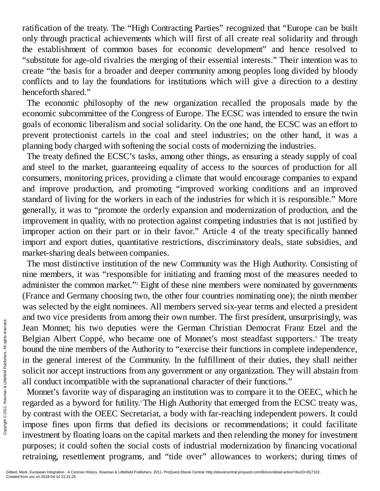ratification of the treaty. The "High Contracting Parties" recognized that "Europe can be built only through practical achievements which will first of all create real solidarity and through the establishment of common bases for economic development" and hence resolved to "substitute for age-old rivalries the merging of their essential interests." Their intention was to create "the basis for a broader and deeper community among peoples long divided by bloody conflicts and to lay the foundations for institutions which will give a direction to a destiny henceforth shared."

The economic philosophy of the new organization recalled the proposals made by the economic subcommittee of the Congress of Europe. The ECSC was intended to ensure the twin goals of economic liberalism and social solidarity. On the one hand, the ECSC was an effort to prevent protectionist cartels in the coal and steel industries; on the other hand, it was a planning body charged with softening the social costs of modernizing the industries.

The treaty defined the ECSC's tasks, among other things, as ensuring a steady supply of coal and steel to the market, guaranteeing equality of access to the sources of production for all consumers, monitoring prices, providing a climate that would encourage companies to expand and improve production, and promoting "improved working conditions and an improved standard of living for the workers in each of the industries for which it is responsible." More generally, it was to "promote the orderly expansion and modernization of production, and the improvement in quality, with no protection against competing industries that is not justified by improper action on their part or in their favor." Article 4 of the treaty specifically banned import and export duties, quantitative restrictions, discriminatory deals, state subsidies, and market-sharing deals between companies.

The most distinctive institution of the new Community was the High Authority. Consisting of nine members, it was "responsible for initiating and framing most of the measures needed to administer the common market." <sup>3</sup> Eight of these nine members were nominated by governments (France and Germany choosing two, the other four countries nominating one); the ninth member was selected by the eight nominees. All members served six-year terms and elected a president and two vice presidents from among their own number. The first president, unsurprisingly, was Jean Monnet; his two deputies were the German Christian Democrat Franz Etzel and the Belgian Albert Coppé, who became one of Monnet's most steadfast supporters. <sup>4</sup> The treaty bound the nine members of the Authority to "exercise their functions in complete independence, in the general interest of the Community. In the fulfillment of their duties, they shall neither solicit nor accept instructions from any government or any organization. They will abstain from all conduct incompatible with the supranational character of their functions."

Monnet's favorite way of disparaging an institution was to compare it to the OEEC, which he regarded as a byword for futility. <sup>5</sup>The High Authority that emerged from the ECSC treaty was, by contrast with the OEEC Secretariat, a body with far-reaching independent powers. It could impose fines upon firms that defied its decisions or recommendations; it could facilitate investment by floating loans on the capital markets and then relending the money for investment purposes; it could soften the social costs of industrial modernization by financing vocational retraining, resettlement programs, and "tide over" allowances to workers; during times of Example 12:32:31:25.<br>
Belgian Albert<br>
in the general is colicit nor acce<br>
all conduct incore<br>
all conduct incore<br>
all conduct incore<br>
moment's favo<br>
regarded as a b<br>
by contrast with<br>
impose fines uncessament by f<br>
purpos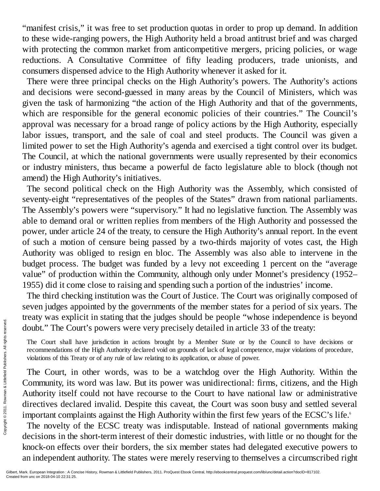"manifest crisis," it was free to set production quotas in order to prop up demand. In addition to these wide-ranging powers, the High Authority held a broad antitrust brief and was charged with protecting the common market from anticompetitive mergers, pricing policies, or wage reductions. A Consultative Committee of fifty leading producers, trade unionists, and consumers dispensed advice to the High Authority whenever it asked for it.

There were three principal checks on the High Authority's powers. The Authority's actions and decisions were second-guessed in many areas by the Council of Ministers, which was given the task of harmonizing "the action of the High Authority and that of the governments, which are responsible for the general economic policies of their countries." The Council's approval was necessary for a broad range of policy actions by the High Authority, especially labor issues, transport, and the sale of coal and steel products. The Council was given a limited power to set the High Authority's agenda and exercised a tight control over its budget. The Council, at which the national governments were usually represented by their economics or industry ministers, thus became a powerful de facto legislature able to block (though not amend) the High Authority's initiatives.

The second political check on the High Authority was the Assembly, which consisted of seventy-eight "representatives of the peoples of the States" drawn from national parliaments. The Assembly's powers were "supervisory." It had no legislative function. The Assembly was able to demand oral or written replies from members of the High Authority and possessed the power, under article 24 of the treaty, to censure the High Authority's annual report. In the event of such a motion of censure being passed by a two-thirds majority of votes cast, the High Authority was obliged to resign en bloc. The Assembly was also able to intervene in the budget process. The budget was funded by a levy not exceeding 1 percent on the "average value" of production within the Community, although only under Monnet's presidency (1952– 1955) did it come close to raising and spending such a portion of the industries' income.

The third checking institution was the Court of Justice. The Court was originally composed of seven judges appointed by the governments of the member states for a period of six years. The treaty was explicit in stating that the judges should be people "whose independence is beyond doubt." The Court's powers were very precisely detailed in article 33 of the treaty:

The Court shall have jurisdiction in actions brought by a Member State or by the Council to have decisions or recommendations of the High Authority declared void on grounds of lack of legal competence, major violations of procedure, violations of this Treaty or of any rule of law relating to its application, or abuse of power.

The Court, in other words, was to be a watchdog over the High Authority. Within the Community, its word was law. But its power was unidirectional: firms, citizens, and the High Authority itself could not have recourse to the Court to have national law or administrative directives declared invalid. Despite this caveat, the Court was soon busy and settled several important complaints against the High Authority within the first few years of the ECSC's life. 6 Created from unc on 2018-04-10 22:31:25.<br>
Created from unc on 2018-04-10 22:31:25.<br>
Created from unc on 2018-04-10 22:31:25.<br>
Created from unc on 2018-04-10 22:31:25.<br>
Created from unc on 2018-04-10 22:31:25.<br>
Created fro

The novelty of the ECSC treaty was indisputable. Instead of national governments making decisions in the short-term interest of their domestic industries, with little or no thought for the knock-on effects over their borders, the six member states had delegated executive powers to an independent authority. The states were merely reserving to themselves a circumscribed right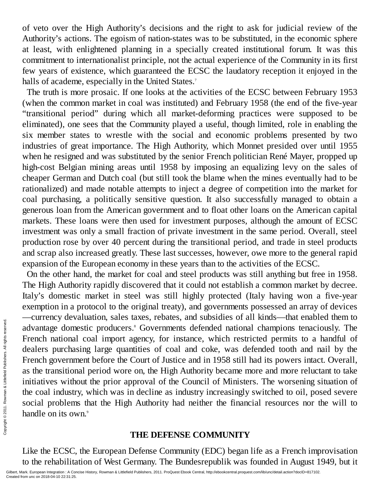of veto over the High Authority's decisions and the right to ask for judicial review of the Authority's actions. The egoism of nation-states was to be substituted, in the economic sphere at least, with enlightened planning in a specially created institutional forum. It was this commitment to internationalist principle, not the actual experience of the Community in its first few years of existence, which guaranteed the ECSC the laudatory reception it enjoyed in the halls of academe, especially in the United States. 7

The truth is more prosaic. If one looks at the activities of the ECSC between February 1953 (when the common market in coal was instituted) and February 1958 (the end of the five-year "transitional period" during which all market-deforming practices were supposed to be eliminated), one sees that the Community played a useful, though limited, role in enabling the six member states to wrestle with the social and economic problems presented by two industries of great importance. The High Authority, which Monnet presided over until 1955 when he resigned and was substituted by the senior French politician René Mayer, propped up high-cost Belgian mining areas until 1958 by imposing an equalizing levy on the sales of cheaper German and Dutch coal (but still took the blame when the mines eventually had to be rationalized) and made notable attempts to inject a degree of competition into the market for coal purchasing, a politically sensitive question. It also successfully managed to obtain a generous loan from the American government and to float other loans on the American capital markets. These loans were then used for investment purposes, although the amount of ECSC investment was only a small fraction of private investment in the same period. Overall, steel production rose by over 40 percent during the transitional period, and trade in steel products and scrap also increased greatly. These last successes, however, owe more to the general rapid expansion of the European economy in these years than to the activities of the ECSC.

On the other hand, the market for coal and steel products was still anything but free in 1958. The High Authority rapidly discovered that it could not establish a common market by decree. Italy's domestic market in steel was still highly protected (Italy having won a five-year exemption in a protocol to the original treaty), and governments possessed an array of devices —currency devaluation, sales taxes, rebates, and subsidies of all kinds—that enabled them to advantage domestic producers. <sup>8</sup> Governments defended national champions tenaciously. The French national coal import agency, for instance, which restricted permits to a handful of dealers purchasing large quantities of coal and coke, was defended tooth and nail by the French government before the Court of Justice and in 1958 still had its powers intact. Overall, as the transitional period wore on, the High Authority became more and more reluctant to take initiatives without the prior approval of the Council of Ministers. The worsening situation of the coal industry, which was in decline as industry increasingly switched to oil, posed severe social problems that the High Authority had neither the financial resources nor the will to handle on its own. 9 Example and the strengthening and the strengthening  $\frac{1}{2}$  and  $\frac{1}{2}$  are the transition initiatives with the coal industre social problem handle on its over all reserved from the ECSC, to the rehabilitatives reserv

#### **THE DEFENSE COMMUNITY**

Like the ECSC, the European Defense Community (EDC) began life as a French improvisation to the rehabilitation of West Germany. The Bundesrepublik was founded in August 1949, but it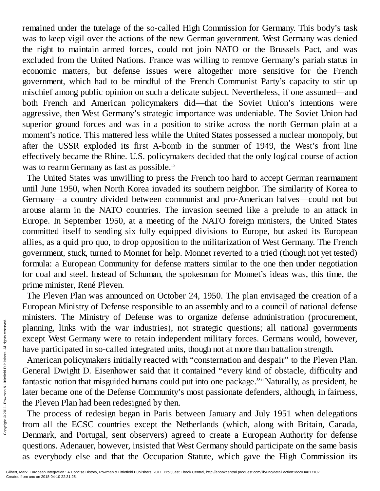remained under the tutelage of the so-called High Commission for Germany. This body's task was to keep vigil over the actions of the new German government. West Germany was denied the right to maintain armed forces, could not join NATO or the Brussels Pact, and was excluded from the United Nations. France was willing to remove Germany's pariah status in economic matters, but defense issues were altogether more sensitive for the French government, which had to be mindful of the French Communist Party's capacity to stir up mischief among public opinion on such a delicate subject. Nevertheless, if one assumed—and both French and American policymakers did—that the Soviet Union's intentions were aggressive, then West Germany's strategic importance was undeniable. The Soviet Union had superior ground forces and was in a position to strike across the north German plain at a moment's notice. This mattered less while the United States possessed a nuclear monopoly, but after the USSR exploded its first A-bomb in the summer of 1949, the West's front line effectively became the Rhine. U.S. policymakers decided that the only logical course of action was to rearm Germany as fast as possible.<sup>10</sup>

The United States was unwilling to press the French too hard to accept German rearmament until June 1950, when North Korea invaded its southern neighbor. The similarity of Korea to Germany—a country divided between communist and pro-American halves—could not but arouse alarm in the NATO countries. The invasion seemed like a prelude to an attack in Europe. In September 1950, at a meeting of the NATO foreign ministers, the United States committed itself to sending six fully equipped divisions to Europe, but asked its European allies, as a quid pro quo, to drop opposition to the militarization of West Germany. The French government, stuck, turned to Monnet for help. Monnet reverted to a tried (though not yet tested) formula: a European Community for defense matters similar to the one then under negotiation for coal and steel. Instead of Schuman, the spokesman for Monnet's ideas was, this time, the prime minister, René Pleven.

The Pleven Plan was announced on October 24, 1950. The plan envisaged the creation of a European Ministry of Defense responsible to an assembly and to a council of national defense ministers. The Ministry of Defense was to organize defense administration (procurement, planning, links with the war industries), not strategic questions; all national governments except West Germany were to retain independent military forces. Germans would, however, have participated in so-called integrated units, though not at more than battalion strength.

American policymakers initially reacted with "consternation and despair" to the Pleven Plan. General Dwight D. Eisenhower said that it contained "every kind of obstacle, difficulty and fantastic notion that misguided humans could put into one package."<sup>11</sup>Naturally, as president, he later became one of the Defense Community's most passionate defenders, although, in fairness, the Pleven Plan had been redesigned by then.

The process of redesign began in Paris between January and July 1951 when delegations from all the ECSC countries except the Netherlands (which, along with Britain, Canada, Denmark, and Portugal, sent observers) agreed to create a European Authority for defense questions. Adenauer, however, insisted that West Germany should participate on the same basis as everybody else and that the Occupation Statute, which gave the High Commission its Example 1.1 The process of the Pleven Plan<br>  $\frac{1}{2}$   $\frac{1}{2}$   $\frac{1}{2}$   $\frac{1}{2}$   $\frac{1}{2}$   $\frac{1}{2}$   $\frac{1}{2}$   $\frac{1}{2}$   $\frac{1}{2}$   $\frac{1}{2}$   $\frac{1}{2}$   $\frac{1}{2}$   $\frac{1}{2}$   $\frac{1}{2}$   $\frac{1}{2}$   $\frac{1}{2}$   $\frac{1}{2}$   $\frac{1}{2$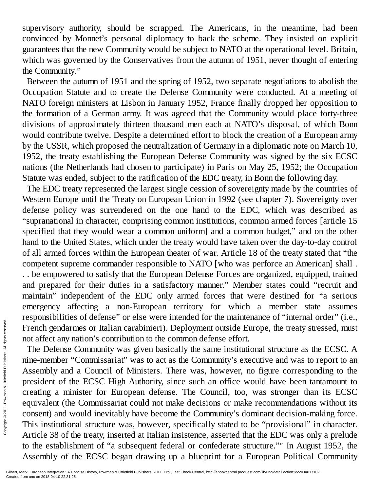supervisory authority, should be scrapped. The Americans, in the meantime, had been convinced by Monnet's personal diplomacy to back the scheme. They insisted on explicit guarantees that the new Community would be subject to NATO at the operational level. Britain, which was governed by the Conservatives from the autumn of 1951, never thought of entering the Community.<sup>12</sup>

Between the autumn of 1951 and the spring of 1952, two separate negotiations to abolish the Occupation Statute and to create the Defense Community were conducted. At a meeting of NATO foreign ministers at Lisbon in January 1952, France finally dropped her opposition to the formation of a German army. It was agreed that the Community would place forty-three divisions of approximately thirteen thousand men each at NATO's disposal, of which Bonn would contribute twelve. Despite a determined effort to block the creation of a European army by the USSR, which proposed the neutralization of Germany in a diplomatic note on March 10, 1952, the treaty establishing the European Defense Community was signed by the six ECSC nations (the Netherlands had chosen to participate) in Paris on May 25, 1952; the Occupation Statute was ended, subject to the ratification of the EDC treaty, in Bonn the following day.

The EDC treaty represented the largest single cession of sovereignty made by the countries of Western Europe until the Treaty on European Union in 1992 (see chapter 7). Sovereignty over defense policy was surrendered on the one hand to the EDC, which was described as "supranational in character, comprising common institutions, common armed forces [article 15 specified that they would wear a common uniform] and a common budget," and on the other hand to the United States, which under the treaty would have taken over the day-to-day control of all armed forces within the European theater of war. Article 18 of the treaty stated that "the competent supreme commander responsible to NATO [who was perforce an American] shall .

. . be empowered to satisfy that the European Defense Forces are organized, equipped, trained and prepared for their duties in a satisfactory manner." Member states could "recruit and maintain" independent of the EDC only armed forces that were destined for "a serious emergency affecting a non-European territory for which a member state assumes responsibilities of defense" or else were intended for the maintenance of "internal order" (i.e., French gendarmes or Italian carabinieri). Deployment outside Europe, the treaty stressed, must not affect any nation's contribution to the common defense effort.

The Defense Community was given basically the same institutional structure as the ECSC. A nine-member "Commissariat" was to act as the Community's executive and was to report to an Assembly and a Council of Ministers. There was, however, no figure corresponding to the president of the ECSC High Authority, since such an office would have been tantamount to creating a minister for European defense. The Council, too, was stronger than its ECSC equivalent (the Commissariat could not make decisions or make recommendations without its consent) and would inevitably have become the Community's dominant decision-making force. This institutional structure was, however, specifically stated to be "provisional" in character. Article 38 of the treaty, inserted at Italian insistence, asserted that the EDC was only a prelude to the establishment of "a subsequent federal or confederate structure."<sup>13</sup> In August 1952, the Assembly of the ECSC began drawing up a blueprint for a European Political Community Experimentation in the Unit<br>
French gendarm<br>
The Defense (<br>
nine-member "(<br>
Assembly and<br>
president of the<br>
creating a min<br>
equivalent (the<br>
consent) and we have the conserved from the establish<br>
Assembly of th<br>
Gilbert,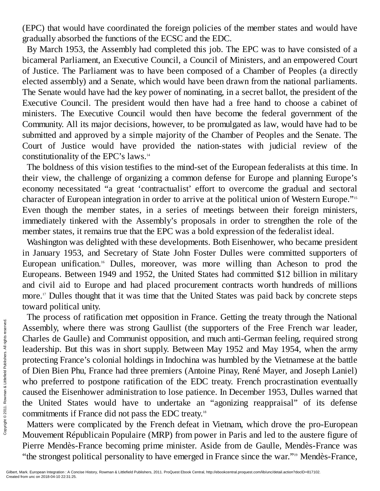(EPC) that would have coordinated the foreign policies of the member states and would have gradually absorbed the functions of the ECSC and the EDC.

By March 1953, the Assembly had completed this job. The EPC was to have consisted of a bicameral Parliament, an Executive Council, a Council of Ministers, and an empowered Court of Justice. The Parliament was to have been composed of a Chamber of Peoples (a directly elected assembly) and a Senate, which would have been drawn from the national parliaments. The Senate would have had the key power of nominating, in a secret ballot, the president of the Executive Council. The president would then have had a free hand to choose a cabinet of ministers. The Executive Council would then have become the federal government of the Community. All its major decisions, however, to be promulgated as law, would have had to be submitted and approved by a simple majority of the Chamber of Peoples and the Senate. The Court of Justice would have provided the nation-states with judicial review of the constitutionality of the EPC's laws. 14

The boldness of this vision testifies to the mind-set of the European federalists at this time. In their view, the challenge of organizing a common defense for Europe and planning Europe's economy necessitated "a great 'contractualist' effort to overcome the gradual and sectoral character of European integration in order to arrive at the political union of Western Europe." 15 Even though the member states, in a series of meetings between their foreign ministers, immediately tinkered with the Assembly's proposals in order to strengthen the role of the member states, it remains true that the EPC was a bold expression of the federalist ideal.

Washington was delighted with these developments. Both Eisenhower, who became president in January 1953, and Secretary of State John Foster Dulles were committed supporters of European unification. <sup>16</sup> Dulles, moreover, was more willing than Acheson to prod the Europeans. Between 1949 and 1952, the United States had committed \$12 billion in military and civil aid to Europe and had placed procurement contracts worth hundreds of millions more. <sup>17</sup> Dulles thought that it was time that the United States was paid back by concrete steps toward political unity.

The process of ratification met opposition in France. Getting the treaty through the National Assembly, where there was strong Gaullist (the supporters of the Free French war leader, Charles de Gaulle) and Communist opposition, and much anti-German feeling, required strong leadership. But this was in short supply. Between May 1952 and May 1954, when the army protecting France's colonial holdings in Indochina was humbled by the Vietnamese at the battle of Dien Bien Phu, France had three premiers (Antoine Pinay, René Mayer, and Joseph Laniel) who preferred to postpone ratification of the EDC treaty. French procrastination eventually caused the Eisenhower administration to lose patience. In December 1953, Dulles warned that the United States would have to undertake an "agonizing reappraisal" of its defense commitments if France did not pass the EDC treaty. 18 The process estably, whe<br>
Leadership. But<br>
protecting Fran<br>
of Dien Bien Pl<br>
who preferred<br>
caused the Eise<br>
the United Sta<br>
commitments if<br>
Matters were<br>
Mouvement Rép<br>
Pierre Mendès<br>
"the strongest p<br>
Gilbert, Mark. Euro

Matters were complicated by the French defeat in Vietnam, which drove the pro-European Mouvement Républicain Populaire (MRP) from power in Paris and led to the austere figure of Pierre Mendès-France becoming prime minister. Aside from de Gaulle, Mendès-France was "the strongest political personality to have emerged in France since the war." <sup>19</sup> Mendès-France,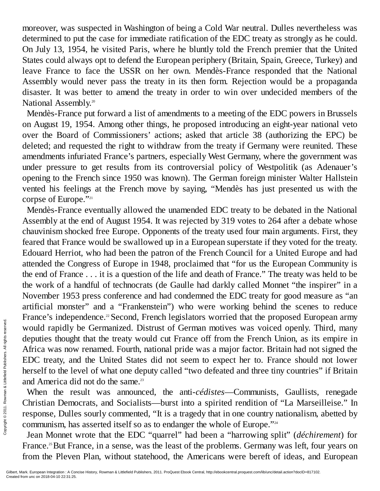moreover, was suspected in Washington of being a Cold War neutral. Dulles nevertheless was determined to put the case for immediate ratification of the EDC treaty as strongly as he could. On July 13, 1954, he visited Paris, where he bluntly told the French premier that the United States could always opt to defend the European periphery (Britain, Spain, Greece, Turkey) and leave France to face the USSR on her own. Mendès-France responded that the National Assembly would never pass the treaty in its then form. Rejection would be a propaganda disaster. It was better to amend the treaty in order to win over undecided members of the National Assembly.<sup>20</sup>

Mendès-France put forward a list of amendments to a meeting of the EDC powers in Brussels on August 19, 1954. Among other things, he proposed introducing an eight-year national veto over the Board of Commissioners' actions; asked that article 38 (authorizing the EPC) be deleted; and requested the right to withdraw from the treaty if Germany were reunited. These amendments infuriated France's partners, especially West Germany, where the government was under pressure to get results from its controversial policy of Westpolitik (as Adenauer's opening to the French since 1950 was known). The German foreign minister Walter Hallstein vented his feelings at the French move by saying, "Mendès has just presented us with the corpse of Europe."21

Mendès-France eventually allowed the unamended EDC treaty to be debated in the National Assembly at the end of August 1954. It was rejected by 319 votes to 264 after a debate whose chauvinism shocked free Europe. Opponents of the treaty used four main arguments. First, they feared that France would be swallowed up in a European superstate if they voted for the treaty. Edouard Herriot, who had been the patron of the French Council for a United Europe and had attended the Congress of Europe in 1948, proclaimed that "for us the European Community is the end of France . . . it is a question of the life and death of France." The treaty was held to be the work of a handful of technocrats (de Gaulle had darkly called Monnet "the inspirer" in a November 1953 press conference and had condemned the EDC treaty for good measure as "an artificial monster" and a "Frankenstein") who were working behind the scenes to reduce France's independence.<sup>22</sup> Second, French legislators worried that the proposed European army would rapidly be Germanized. Distrust of German motives was voiced openly. Third, many deputies thought that the treaty would cut France off from the French Union, as its empire in Africa was now renamed. Fourth, national pride was a major factor. Britain had not signed the EDC treaty, and the United States did not seem to expect her to. France should not lower herself to the level of what one deputy called "two defeated and three tiny countries" if Britain and America did not do the same. 23 France 5 matept<br>
would rapidly<br>
deputies though<br>
EDC treaty, an<br>
herself to the le<br>
and America di<br>
and America di<br>
Christian Demo<br>
response, Dulle<br>
communism, ha<br>
Jean Monnet<br>
France.<sup>25</sup> But France<br>
France.<sup>25</sup> But Fran

When the result was announced, the anti-*cédistes*—Communists, Gaullists, renegade Christian Democrats, and Socialists—burst into a spirited rendition of "La Marseilleise." In response, Dulles sourly commented, "It is a tragedy that in one country nationalism, abetted by communism, has asserted itself so as to endanger the whole of Europe." 24

Jean Monnet wrote that the EDC "quarrel" had been a "harrowing split" (*déchirement*) for France.<sup>25</sup> But France, in a sense, was the least of the problems. Germany was left, four years on from the Pleven Plan, without statehood, the Americans were bereft of ideas, and European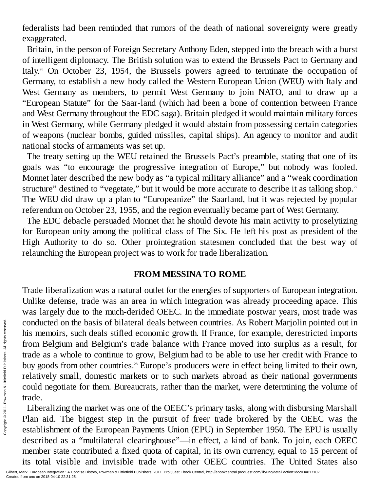federalists had been reminded that rumors of the death of national sovereignty were greatly exaggerated.

Britain, in the person of Foreign Secretary Anthony Eden, stepped into the breach with a burst of intelligent diplomacy. The British solution was to extend the Brussels Pact to Germany and Italy.<sup>26</sup> On October 23, 1954, the Brussels powers agreed to terminate the occupation of Germany, to establish a new body called the Western European Union (WEU) with Italy and West Germany as members, to permit West Germany to join NATO, and to draw up a "European Statute" for the Saar-land (which had been a bone of contention between France and West Germany throughout the EDC saga). Britain pledged it would maintain military forces in West Germany, while Germany pledged it would abstain from possessing certain categories of weapons (nuclear bombs, guided missiles, capital ships). An agency to monitor and audit national stocks of armaments was set up.

The treaty setting up the WEU retained the Brussels Pact's preamble, stating that one of its goals was "to encourage the progressive integration of Europe," but nobody was fooled. Monnet later described the new body as "a typical military alliance" and a "weak coordination structure" destined to "vegetate," but it would be more accurate to describe it as talking shop.<sup>27</sup> The WEU did draw up a plan to "Europeanize" the Saarland, but it was rejected by popular referendum on October 23, 1955, and the region eventually became part of West Germany.

The EDC debacle persuaded Monnet that he should devote his main activity to proselytizing for European unity among the political class of The Six. He left his post as president of the High Authority to do so. Other prointegration statesmen concluded that the best way of relaunching the European project was to work for trade liberalization.

#### **FROM MESSINA TO ROME**

Trade liberalization was a natural outlet for the energies of supporters of European integration. Unlike defense, trade was an area in which integration was already proceeding apace. This was largely due to the much-derided OEEC. In the immediate postwar years, most trade was conducted on the basis of bilateral deals between countries. As Robert Marjolin pointed out in his memoirs, such deals stifled economic growth. If France, for example, derestricted imports from Belgium and Belgium's trade balance with France moved into surplus as a result, for trade as a whole to continue to grow, Belgium had to be able to use her credit with France to buy goods from other countries. <sup>28</sup> Europe's producers were in effect being limited to their own, relatively small, domestic markets or to such markets abroad as their national governments could negotiate for them. Bureaucrats, rather than the market, were determining the volume of trade. From Belgium and trade as a whole buy goods from relatively small could negotiate trade.<br>
Liberalizing the plan aid. The establishment of described as a member state c its total visible  $\frac{1}{\text{Sinekt, Mark. European Integration: A Co.} }$ 

Liberalizing the market was one of the OEEC's primary tasks, along with disbursing Marshall Plan aid. The biggest step in the pursuit of freer trade brokered by the OEEC was the establishment of the European Payments Union (EPU) in September 1950. The EPU is usually described as a "multilateral clearinghouse"—in effect, a kind of bank. To join, each OEEC member state contributed a fixed quota of capital, in its own currency, equal to 15 percent of its total visible and invisible trade with other OEEC countries. The United States also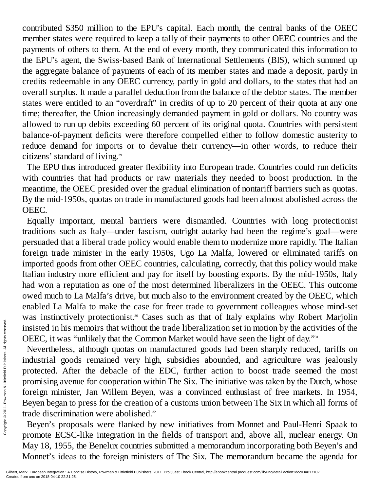contributed \$350 million to the EPU's capital. Each month, the central banks of the OEEC member states were required to keep a tally of their payments to other OEEC countries and the payments of others to them. At the end of every month, they communicated this information to the EPU's agent, the Swiss-based Bank of International Settlements (BIS), which summed up the aggregate balance of payments of each of its member states and made a deposit, partly in credits redeemable in any OEEC currency, partly in gold and dollars, to the states that had an overall surplus. It made a parallel deduction from the balance of the debtor states. The member states were entitled to an "overdraft" in credits of up to 20 percent of their quota at any one time; thereafter, the Union increasingly demanded payment in gold or dollars. No country was allowed to run up debits exceeding 60 percent of its original quota. Countries with persistent balance-of-payment deficits were therefore compelled either to follow domestic austerity to reduce demand for imports or to devalue their currency—in other words, to reduce their citizens' standard of living. 29

The EPU thus introduced greater flexibility into European trade. Countries could run deficits with countries that had products or raw materials they needed to boost production. In the meantime, the OEEC presided over the gradual elimination of nontariff barriers such as quotas. By the mid-1950s, quotas on trade in manufactured goods had been almost abolished across the OEEC.

Equally important, mental barriers were dismantled. Countries with long protectionist traditions such as Italy—under fascism, outright autarky had been the regime's goal—were persuaded that a liberal trade policy would enable them to modernize more rapidly. The Italian foreign trade minister in the early 1950s, Ugo La Malfa, lowered or eliminated tariffs on imported goods from other OEEC countries, calculating, correctly, that this policy would make Italian industry more efficient and pay for itself by boosting exports. By the mid-1950s, Italy had won a reputation as one of the most determined liberalizers in the OEEC. This outcome owed much to La Malfa's drive, but much also to the environment created by the OEEC, which enabled La Malfa to make the case for freer trade to government colleagues whose mind-set was instinctively protectionist. <sup>30</sup> Cases such as that of Italy explains why Robert Marjolin insisted in his memoirs that without the trade liberalization set in motion by the activities of the OEEC, it was "unlikely that the Common Market would have seen the light of day."<sup>31</sup>

Nevertheless, although quotas on manufactured goods had been sharply reduced, tariffs on industrial goods remained very high, subsidies abounded, and agriculture was jealously protected. After the debacle of the EDC, further action to boost trade seemed the most promising avenue for cooperation within The Six. The initiative was taken by the Dutch, whose foreign minister, Jan Willem Beyen, was a convinced enthusiast of free markets. In 1954, Beyen began to press for the creation of a customs union between The Six in which all forms of trade discrimination were abolished. 32 Example 12. The set of the set of the set of the set of the set of the set of the set of the set of the set of the set of the set of the set of the set of the set of the set of the set of the set of the set of the set of

Beyen's proposals were flanked by new initiatives from Monnet and Paul-Henri Spaak to promote ECSC-like integration in the fields of transport and, above all, nuclear energy. On May 18, 1955, the Benelux countries submitted a memorandum incorporating both Beyen's and Monnet's ideas to the foreign ministers of The Six. The memorandum became the agenda for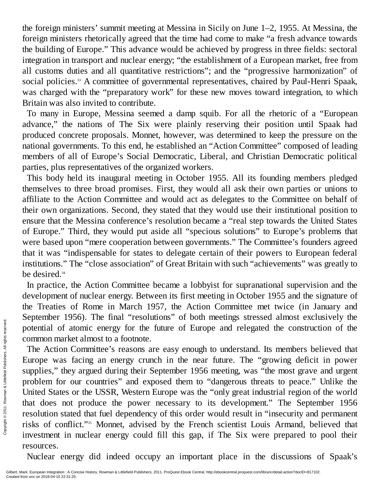the foreign ministers' summit meeting at Messina in Sicily on June 1–2, 1955. At Messina, the foreign ministers rhetorically agreed that the time had come to make "a fresh advance towards the building of Europe." This advance would be achieved by progress in three fields: sectoral integration in transport and nuclear energy; "the establishment of a European market, free from all customs duties and all quantitative restrictions"; and the "progressive harmonization" of social policies.<sup>33</sup> A committee of governmental representatives, chaired by Paul-Henri Spaak, was charged with the "preparatory work" for these new moves toward integration, to which Britain was also invited to contribute.

To many in Europe, Messina seemed a damp squib. For all the rhetoric of a "European advance," the nations of The Six were plainly reserving their position until Spaak had produced concrete proposals. Monnet, however, was determined to keep the pressure on the national governments. To this end, he established an "Action Committee" composed of leading members of all of Europe's Social Democratic, Liberal, and Christian Democratic political parties, plus representatives of the organized workers.

This body held its inaugural meeting in October 1955. All its founding members pledged themselves to three broad promises. First, they would all ask their own parties or unions to affiliate to the Action Committee and would act as delegates to the Committee on behalf of their own organizations. Second, they stated that they would use their institutional position to ensure that the Messina conference's resolution became a "real step towards the United States of Europe." Third, they would put aside all "specious solutions" to Europe's problems that were based upon "mere cooperation between governments." The Committee's founders agreed that it was "indispensable for states to delegate certain of their powers to European federal institutions." The "close association" of Great Britain with such "achievements" was greatly to be desired. 34

In practice, the Action Committee became a lobbyist for supranational supervision and the development of nuclear energy. Between its first meeting in October 1955 and the signature of the Treaties of Rome in March 1957, the Action Committee met twice (in January and September 1956). The final "resolutions" of both meetings stressed almost exclusively the potential of atomic energy for the future of Europe and relegated the construction of the common market almost to a footnote.

The Action Committee's reasons are easy enough to understand. Its members believed that Europe was facing an energy crunch in the near future. The "growing deficit in power supplies," they argued during their September 1956 meeting, was "the most grave and urgent problem for our countries" and exposed them to "dangerous threats to peace." Unlike the United States or the USSR, Western Europe was the "only great industrial region of the world that does not produce the power necessary to its development." The September 1956 resolution stated that fuel dependency of this order would result in "insecurity and permanent risks of conflict." <sup>35</sup> Monnet, advised by the French scientist Louis Armand, believed that investment in nuclear energy could fill this gap, if The Six were prepared to pool their resources. Created from unc on 2018-04-10 22:31:25.<br>
Created from unc on 2018-04-10 22:31:25.<br>
Created from unc on 2018-04-10 22:31:25.<br>
Created from unc on 2018-04-10 22:31:25.<br>
Created from unc on 2018-04-10 22:31:25.<br>
Created fro

Nuclear energy did indeed occupy an important place in the discussions of Spaak's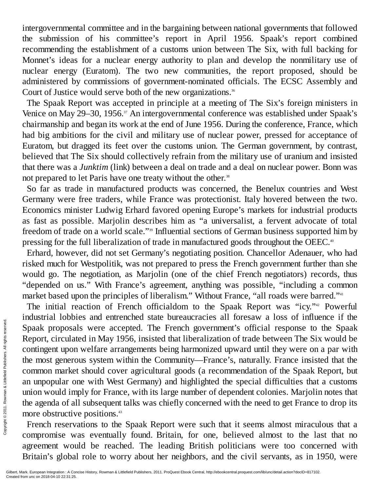intergovernmental committee and in the bargaining between national governments that followed the submission of his committee's report in April 1956. Spaak's report combined recommending the establishment of a customs union between The Six, with full backing for Monnet's ideas for a nuclear energy authority to plan and develop the nonmilitary use of nuclear energy (Euratom). The two new communities, the report proposed, should be administered by commissions of government-nominated officials. The ECSC Assembly and Court of Justice would serve both of the new organizations. 36

The Spaak Report was accepted in principle at a meeting of The Six's foreign ministers in Venice on May 29–30, 1956.<sup>37</sup> An intergovernmental conference was established under Spaak's chairmanship and began its work at the end of June 1956. During the conference, France, which had big ambitions for the civil and military use of nuclear power, pressed for acceptance of Euratom, but dragged its feet over the customs union. The German government, by contrast, believed that The Six should collectively refrain from the military use of uranium and insisted that there was a *Junktim* (link) between a deal on trade and a deal on nuclear power. Bonn was not prepared to let Paris have one treaty without the other.<sup>38</sup>

So far as trade in manufactured products was concerned, the Benelux countries and West Germany were free traders, while France was protectionist. Italy hovered between the two. Economics minister Ludwig Erhard favored opening Europe's markets for industrial products as fast as possible. Marjolin describes him as "a universalist, a fervent advocate of total freedom of trade on a world scale."<sup>39</sup> Influential sections of German business supported him by pressing for the full liberalization of trade in manufactured goods throughout the OEEC.<sup>40</sup>

Erhard, however, did not set Germany's negotiating position. Chancellor Adenauer, who had risked much for Westpolitik, was not prepared to press the French government further than she would go. The negotiation, as Marjolin (one of the chief French negotiators) records, thus "depended on us." With France's agreement, anything was possible, "including a common market based upon the principles of liberalism." Without France, "all roads were barred." 41

The initial reaction of French officialdom to the Spaak Report was "icy." <sup>42</sup> Powerful industrial lobbies and entrenched state bureaucracies all foresaw a loss of influence if the Spaak proposals were accepted. The French government's official response to the Spaak Report, circulated in May 1956, insisted that liberalization of trade between The Six would be contingent upon welfare arrangements being harmonized upward until they were on a par with the most generous system within the Community—France's, naturally. France insisted that the common market should cover agricultural goods (a recommendation of the Spaak Report, but an unpopular one with West Germany) and highlighted the special difficulties that a customs union would imply for France, with its large number of dependent colonies. Marjolin notes that the agenda of all subsequent talks was chiefly concerned with the need to get France to drop its more obstructive positions. 43 Expectively, the most generic contingent upor<br>
the most generic common marke<br>
an unpopular of union would im<br>
the agenda of all more obstructively<br>
French reserved. French reserved. All rights reserved. All rights reserve

French reservations to the Spaak Report were such that it seems almost miraculous that a compromise was eventually found. Britain, for one, believed almost to the last that no agreement would be reached. The leading British politicians were too concerned with Britain's global role to worry about her neighbors, and the civil servants, as in 1950, were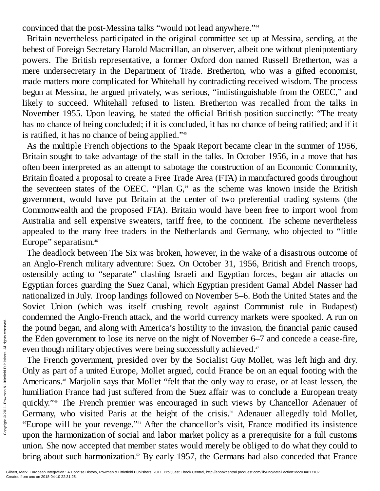convinced that the post-Messina talks "would not lead anywhere." 44

Britain nevertheless participated in the original committee set up at Messina, sending, at the behest of Foreign Secretary Harold Macmillan, an observer, albeit one without plenipotentiary powers. The British representative, a former Oxford don named Russell Bretherton, was a mere undersecretary in the Department of Trade. Bretherton, who was a gifted economist, made matters more complicated for Whitehall by contradicting received wisdom. The process begun at Messina, he argued privately, was serious, "indistinguishable from the OEEC," and likely to succeed. Whitehall refused to listen. Bretherton was recalled from the talks in November 1955. Upon leaving, he stated the official British position succinctly: "The treaty has no chance of being concluded; if it is concluded, it has no chance of being ratified; and if it is ratified, it has no chance of being applied." 45

As the multiple French objections to the Spaak Report became clear in the summer of 1956, Britain sought to take advantage of the stall in the talks. In October 1956, in a move that has often been interpreted as an attempt to sabotage the construction of an Economic Community, Britain floated a proposal to create a Free Trade Area (FTA) in manufactured goods throughout the seventeen states of the OEEC. "Plan G," as the scheme was known inside the British government, would have put Britain at the center of two preferential trading systems (the Commonwealth and the proposed FTA). Britain would have been free to import wool from Australia and sell expensive sweaters, tariff free, to the continent. The scheme nevertheless appealed to the many free traders in the Netherlands and Germany, who objected to "little Europe" separatism. 46

The deadlock between The Six was broken, however, in the wake of a disastrous outcome of an Anglo-French military adventure: Suez. On October 31, 1956, British and French troops, ostensibly acting to "separate" clashing Israeli and Egyptian forces, began air attacks on Egyptian forces guarding the Suez Canal, which Egyptian president Gamal Abdel Nasser had nationalized in July. Troop landings followed on November 5–6. Both the United States and the Soviet Union (which was itself crushing revolt against Communist rule in Budapest) condemned the Anglo-French attack, and the world currency markets were spooked. A run on the pound began, and along with America's hostility to the invasion, the financial panic caused the Eden government to lose its nerve on the night of November 6–7 and concede a cease-fire, even though military objectives were being successfully achieved. 47

The French government, presided over by the Socialist Guy Mollet, was left high and dry. Only as part of a united Europe, Mollet argued, could France be on an equal footing with the Americans. <sup>48</sup> Marjolin says that Mollet "felt that the only way to erase, or at least lessen, the humiliation France had just suffered from the Suez affair was to conclude a European treaty quickly." <sup>49</sup> The French premier was encouraged in such views by Chancellor Adenauer of Germany, who visited Paris at the height of the crisis. <sup>50</sup> Adenauer allegedly told Mollet, "Europe will be your revenge."<sup>51</sup> After the chancellor's visit, France modified its insistence upon the harmonization of social and labor market policy as a prerequisite for a full customs union. She now accepted that member states would merely be obliged to do what they could to bring about such harmonization.<sup>52</sup> By early 1957, the Germans had also conceded that France Example the pound begand the Eden govern<br>  $\frac{1}{2}$  the Eden govern<br>  $\frac{1}{2}$  The French govern though mil<br>  $\frac{1}{2}$  The French govern and Mumiliation Fra<br>  $\frac{1}{2}$  quickly." $\frac{1}{2}$  The Germany, who<br>  $\frac{1}{2}$  German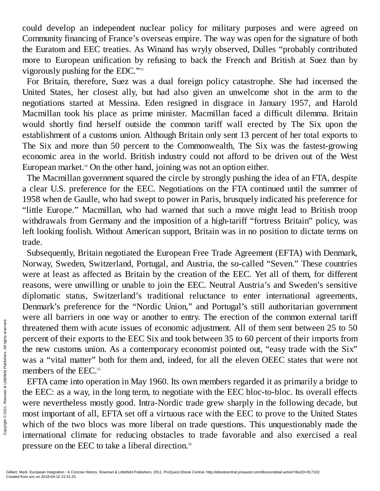could develop an independent nuclear policy for military purposes and were agreed on Community financing of France's overseas empire. The way was open for the signature of both the Euratom and EEC treaties. As Winand has wryly observed, Dulles "probably contributed more to European unification by refusing to back the French and British at Suez than by vigorously pushing for the EDC." 53

For Britain, therefore, Suez was a dual foreign policy catastrophe. She had incensed the United States, her closest ally, but had also given an unwelcome shot in the arm to the negotiations started at Messina. Eden resigned in disgrace in January 1957, and Harold Macmillan took his place as prime minister. Macmillan faced a difficult dilemma. Britain would shortly find herself outside the common tariff wall erected by The Six upon the establishment of a customs union. Although Britain only sent 13 percent of her total exports to The Six and more than 50 percent to the Commonwealth, The Six was the fastest-growing economic area in the world. British industry could not afford to be driven out of the West European market. <sup>54</sup> On the other hand, joining was not an option either.

The Macmillan government squared the circle by strongly pushing the idea of an FTA, despite a clear U.S. preference for the EEC. Negotiations on the FTA continued until the summer of 1958 when de Gaulle, who had swept to power in Paris, brusquely indicated his preference for "little Europe." Macmillan, who had warned that such a move might lead to British troop withdrawals from Germany and the imposition of a high-tariff "fortress Britain" policy, was left looking foolish. Without American support, Britain was in no position to dictate terms on trade.

Subsequently, Britain negotiated the European Free Trade Agreement (EFTA) with Denmark, Norway, Sweden, Switzerland, Portugal, and Austria, the so-called "Seven." These countries were at least as affected as Britain by the creation of the EEC. Yet all of them, for different reasons, were unwilling or unable to join the EEC. Neutral Austria's and Sweden's sensitive diplomatic status, Switzerland's traditional reluctance to enter international agreements, Denmark's preference for the "Nordic Union," and Portugal's still authoritarian government were all barriers in one way or another to entry. The erection of the common external tariff threatened them with acute issues of economic adjustment. All of them sent between 25 to 50 percent of their exports to the EEC Six and took between 35 to 60 percent of their imports from the new customs union. As a contemporary economist pointed out, "easy trade with the Six" was a "vital matter" both for them and, indeed, for all the eleven OEEC states that were not members of the EEC. 55

EFTA came into operation in May 1960. Its own members regarded it as primarily a bridge to the EEC: as a way, in the long term, to negotiate with the EEC bloc-to-bloc. Its overall effects were nevertheless mostly good. Intra-Nordic trade grew sharply in the following decade, but most important of all, EFTA set off a virtuous race with the EEC to prove to the United States which of the two blocs was more liberal on trade questions. This unquestionably made the international climate for reducing obstacles to trade favorable and also exercised a real pressure on the EEC to take a liberal direction. 56 Example the new custom<br>
The new custom<br>
Was a "vital m<br>
members of the<br>
EFTA came in<br>
the EEC: as a v<br>
were nevertheld<br>
most important<br>
which of the tv<br>
international cl<br>
pressure on the<br>  $\frac{1}{2}$ <br>  $\frac{1}{2}$ <br>  $\frac{1}{2}$ <br>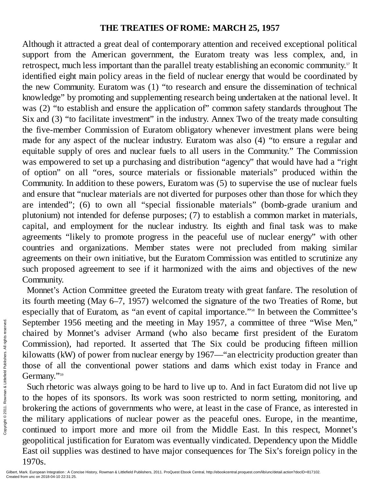#### **THE TREATIES OFROME: MARCH 25, 1957**

Although it attracted a great deal of contemporary attention and received exceptional political support from the American government, the Euratom treaty was less complex, and, in retrospect, much less important than the parallel treaty establishing an economic community. 57 It identified eight main policy areas in the field of nuclear energy that would be coordinated by the new Community. Euratom was (1) "to research and ensure the dissemination of technical knowledge" by promoting and supplementing research being undertaken at the national level. It was (2) "to establish and ensure the application of" common safety standards throughout The Six and (3) "to facilitate investment" in the industry. Annex Two of the treaty made consulting the five-member Commission of Euratom obligatory whenever investment plans were being made for any aspect of the nuclear industry. Euratom was also (4) "to ensure a regular and equitable supply of ores and nuclear fuels to all users in the Community." The Commission was empowered to set up a purchasing and distribution "agency" that would have had a "right of option" on all "ores, source materials or fissionable materials" produced within the Community. In addition to these powers, Euratom was (5) to supervise the use of nuclear fuels and ensure that "nuclear materials are not diverted for purposes other than those for which they are intended"; (6) to own all "special fissionable materials" (bomb-grade uranium and plutonium) not intended for defense purposes; (7) to establish a common market in materials, capital, and employment for the nuclear industry. Its eighth and final task was to make agreements "likely to promote progress in the peaceful use of nuclear energy" with other countries and organizations. Member states were not precluded from making similar agreements on their own initiative, but the Euratom Commission was entitled to scrutinize any such proposed agreement to see if it harmonized with the aims and objectives of the new Community.

Monnet's Action Committee greeted the Euratom treaty with great fanfare. The resolution of its fourth meeting (May 6–7, 1957) welcomed the signature of the two Treaties of Rome, but especially that of Euratom, as "an event of capital importance."<sup>38</sup> In between the Committee's September 1956 meeting and the meeting in May 1957, a committee of three "Wise Men," chaired by Monnet's adviser Armand (who also became first president of the Euratom Commission), had reported. It asserted that The Six could be producing fifteen million kilowatts (kW) of power from nuclear energy by 1967—"an electricity production greater than those of all the conventional power stations and dams which exist today in France and Germany."<sup>59</sup>

Such rhetoric was always going to be hard to live up to. And in fact Euratom did not live up to the hopes of its sponsors. Its work was soon restricted to norm setting, monitoring, and brokering the actions of governments who were, at least in the case of France, as interested in the military applications of nuclear power as the peaceful ones. Europe, in the meantime, continued to import more and more oil from the Middle East. In this respect, Monnet's geopolitical justification for Euratom was eventually vindicated. Dependency upon the Middle East oil supplies was destined to have major consequences for The Six's foreign policy in the 1970s. September 195<br>
chaired by Mc<br>
Commission),<br>
kilowatts (kW)<br>
those of all the<br>
Germany."<sup>59</sup><br>
Such rhetoric<br>
to the hopes of<br>
brokering the a<br>
the military ap<br>
continued to in<br>
geopolitical jus<br>
East oil supplie<br>
1970s.<br>
S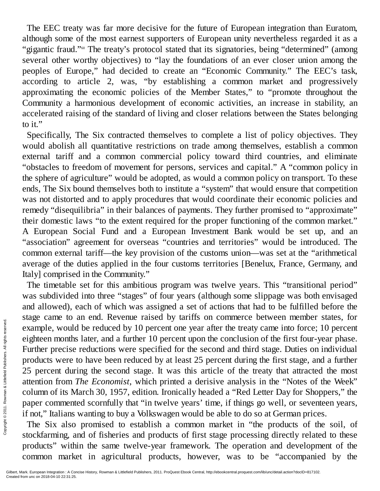The EEC treaty was far more decisive for the future of European integration than Euratom, although some of the most earnest supporters of European unity nevertheless regarded it as a "gigantic fraud."<sup>60</sup> The treaty's protocol stated that its signatories, being "determined" (among several other worthy objectives) to "lay the foundations of an ever closer union among the peoples of Europe," had decided to create an "Economic Community." The EEC's task, according to article 2, was, "by establishing a common market and progressively approximating the economic policies of the Member States," to "promote throughout the Community a harmonious development of economic activities, an increase in stability, an accelerated raising of the standard of living and closer relations between the States belonging to it."

Specifically, The Six contracted themselves to complete a list of policy objectives. They would abolish all quantitative restrictions on trade among themselves, establish a common external tariff and a common commercial policy toward third countries, and eliminate "obstacles to freedom of movement for persons, services and capital." A "common policy in the sphere of agriculture" would be adopted, as would a common policy on transport. To these ends, The Six bound themselves both to institute a "system" that would ensure that competition was not distorted and to apply procedures that would coordinate their economic policies and remedy "disequilibria" in their balances of payments. They further promised to "approximate" their domestic laws "to the extent required for the proper functioning of the common market." A European Social Fund and a European Investment Bank would be set up, and an "association" agreement for overseas "countries and territories" would be introduced. The common external tariff—the key provision of the customs union—was set at the "arithmetical average of the duties applied in the four customs territories [Benelux, France, Germany, and Italy] comprised in the Community."

The timetable set for this ambitious program was twelve years. This "transitional period" was subdivided into three "stages" of four years (although some slippage was both envisaged and allowed), each of which was assigned a set of actions that had to be fulfilled before the stage came to an end. Revenue raised by tariffs on commerce between member states, for example, would be reduced by 10 percent one year after the treaty came into force; 10 percent eighteen months later, and a further 10 percent upon the conclusion of the first four-year phase. Further precise reductions were specified for the second and third stage. Duties on individual products were to have been reduced by at least 25 percent during the first stage, and a further 25 percent during the second stage. It was this article of the treaty that attracted the most attention from *The Economist*, which printed a derisive analysis in the "Notes of the Week" column of its March 30, 1957, edition. Ironically headed a "Red Letter Day for Shoppers," the paper commented scornfully that "in twelve years' time, if things go well, or seventeen years, if not," Italians wanting to buy a Volkswagen would be able to do so at German prices. Example, would<br>
eighteen months<br>
Further precise<br>
products were<br>
25 percent dur<br>
attention from  $\left[\begin{array}{c} 25 \\ -20 \\ -10 \\ -10 \\ \end{array}\right]$ <br>
column of its M<br>
paper comment<br>
if not," Italians<br>
The Six also<br>
stockfarming, a<br>
product

The Six also promised to establish a common market in "the products of the soil, of stockfarming, and of fisheries and products of first stage processing directly related to these products" within the same twelve-year framework. The operation and development of the common market in agricultural products, however, was to be "accompanied by the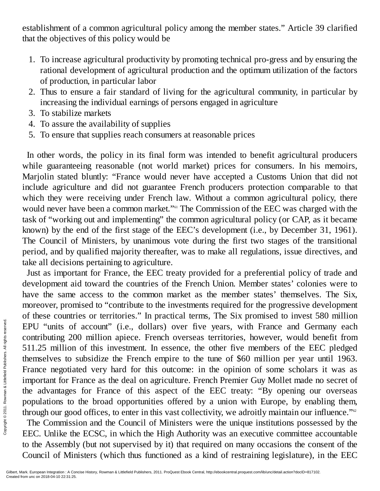establishment of a common agricultural policy among the member states." Article 39 clarified that the objectives of this policy would be

- 1. To increase agricultural productivity by promoting technical pro-gress and by ensuring the rational development of agricultural production and the optimum utilization of the factors of production, in particular labor
- 2. Thus to ensure a fair standard of living for the agricultural community, in particular by increasing the individual earnings of persons engaged in agriculture
- 3. To stabilize markets
- 4. To assure the availability of supplies
- 5. To ensure that supplies reach consumers at reasonable prices

In other words, the policy in its final form was intended to benefit agricultural producers while guaranteeing reasonable (not world market) prices for consumers. In his memoirs, Marjolin stated bluntly: "France would never have accepted a Customs Union that did not include agriculture and did not guarantee French producers protection comparable to that which they were receiving under French law. Without a common agricultural policy, there would never have been a common market." <sup>61</sup> The Commission of the EEC was charged with the task of "working out and implementing" the common agricultural policy (or CAP, as it became known) by the end of the first stage of the EEC's development (i.e., by December 31, 1961). The Council of Ministers, by unanimous vote during the first two stages of the transitional period, and by qualified majority thereafter, was to make all regulations, issue directives, and take all decisions pertaining to agriculture.

Just as important for France, the EEC treaty provided for a preferential policy of trade and development aid toward the countries of the French Union. Member states' colonies were to have the same access to the common market as the member states' themselves. The Six, moreover, promised to "contribute to the investments required for the progressive development of these countries or territories." In practical terms, The Six promised to invest 580 million EPU "units of account" (i.e., dollars) over five years, with France and Germany each contributing 200 million apiece. French overseas territories, however, would benefit from 511.25 million of this investment. In essence, the other five members of the EEC pledged themselves to subsidize the French empire to the tune of \$60 million per year until 1963. France negotiated very hard for this outcome: in the opinion of some scholars it was as important for France as the deal on agriculture. French Premier Guy Mollet made no secret of the advantages for France of this aspect of the EEC treaty: "By opening our overseas populations to the broad opportunities offered by a union with Europe, by enabling them, through our good offices, to enter in this vast collectivity, we adroitly maintain our influence."<sup>52</sup> The Commission and the Council of Ministers were the unique institutions possessed by the EEC. Unlike the ECSC, in which the High Authority was an executive committee accountable to the Assembly (but not supervised by it) that required on many occasions the consent of the Council of Ministers (which thus functioned as a kind of restraining legislature), in the EEC EPU "units of<br>
Entributing 20<br>
S11.25 million<br>
themselves to :<br>
France negotia<br>
important for F<br>
the advantages<br>
populations to<br>
through our goo<br>
The Commiss:<br>
EEC. Unlike th<br>
to the Assembl<sub>!</sub><br>
Council of Mir<br>
Gilbert, M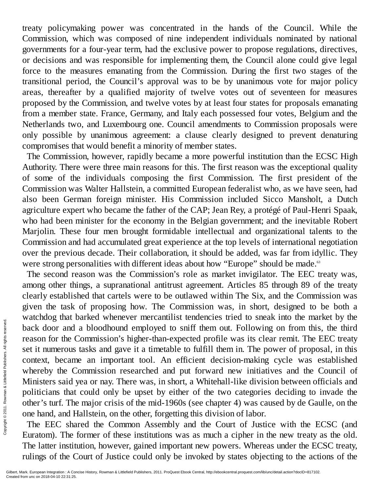treaty policymaking power was concentrated in the hands of the Council. While the Commission, which was composed of nine independent individuals nominated by national governments for a four-year term, had the exclusive power to propose regulations, directives, or decisions and was responsible for implementing them, the Council alone could give legal force to the measures emanating from the Commission. During the first two stages of the transitional period, the Council's approval was to be by unanimous vote for major policy areas, thereafter by a qualified majority of twelve votes out of seventeen for measures proposed by the Commission, and twelve votes by at least four states for proposals emanating from a member state. France, Germany, and Italy each possessed four votes, Belgium and the Netherlands two, and Luxembourg one. Council amendments to Commission proposals were only possible by unanimous agreement: a clause clearly designed to prevent denaturing compromises that would benefit a minority of member states.

The Commission, however, rapidly became a more powerful institution than the ECSC High Authority. There were three main reasons for this. The first reason was the exceptional quality of some of the individuals composing the first Commission. The first president of the Commission was Walter Hallstein, a committed European federalist who, as we have seen, had also been German foreign minister. His Commission included Sicco Mansholt, a Dutch agriculture expert who became the father of the CAP; Jean Rey, a protégé of Paul-Henri Spaak, who had been minister for the economy in the Belgian government; and the inevitable Robert Marjolin. These four men brought formidable intellectual and organizational talents to the Commission and had accumulated great experience at the top levels of international negotiation over the previous decade. Their collaboration, it should be added, was far from idyllic. They were strong personalities with different ideas about how "Europe" should be made.<sup>63</sup>

The second reason was the Commission's role as market invigilator. The EEC treaty was, among other things, a supranational antitrust agreement. Articles 85 through 89 of the treaty clearly established that cartels were to be outlawed within The Six, and the Commission was given the task of proposing how. The Commission was, in short, designed to be both a watchdog that barked whenever mercantilist tendencies tried to sneak into the market by the back door and a bloodhound employed to sniff them out. Following on from this, the third reason for the Commission's higher-than-expected profile was its clear remit. The EEC treaty set it numerous tasks and gave it a timetable to fulfill them in. The power of proposal, in this context, became an important tool. An efficient decision-making cycle was established whereby the Commission researched and put forward new initiatives and the Council of Ministers said yea or nay. There was, in short, a Whitehall-like division between officials and politicians that could only be upset by either of the two categories deciding to invade the other's turf. The major crisis of the mid-1960s (see chapter 4) was caused by de Gaulle, on the one hand, and Hallstein, on the other, forgetting this division of labor. Example 1<br>
Let  $\frac{1}{2}$  and the context, became the context, became whereby the C<br>
Ministers said in politicians that<br>
density and the context. The one hand, and F<br>
The EEC shape Euratom). The The Latter instited and the

The EEC shared the Common Assembly and the Court of Justice with the ECSC (and Euratom). The former of these institutions was as much a cipher in the new treaty as the old. The latter institution, however, gained important new powers. Whereas under the ECSC treaty, rulings of the Court of Justice could only be invoked by states objecting to the actions of the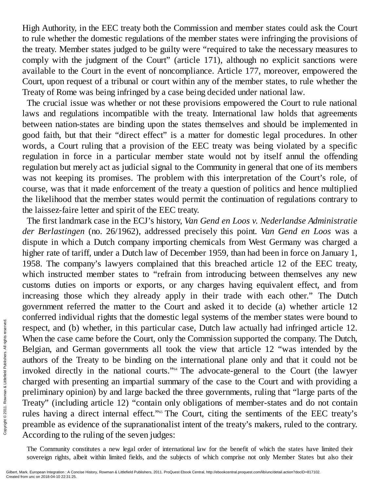High Authority, in the EEC treaty both the Commission and member states could ask the Court to rule whether the domestic regulations of the member states were infringing the provisions of the treaty. Member states judged to be guilty were "required to take the necessary measures to comply with the judgment of the Court" (article 171), although no explicit sanctions were available to the Court in the event of noncompliance. Article 177, moreover, empowered the Court, upon request of a tribunal or court within any of the member states, to rule whether the Treaty of Rome was being infringed by a case being decided under national law.

The crucial issue was whether or not these provisions empowered the Court to rule national laws and regulations incompatible with the treaty. International law holds that agreements between nation-states are binding upon the states themselves and should be implemented in good faith, but that their "direct effect" is a matter for domestic legal procedures. In other words, a Court ruling that a provision of the EEC treaty was being violated by a specific regulation in force in a particular member state would not by itself annul the offending regulation but merely act as judicial signal to the Community in general that one of its members was not keeping its promises. The problem with this interpretation of the Court's role, of course, was that it made enforcement of the treaty a question of politics and hence multiplied the likelihood that the member states would permit the continuation of regulations contrary to the laissez-faire letter and spirit of the EEC treaty.

The first landmark case in the ECJ's history, *Van Gend en Loos v. Nederlandse Administratie der Berlastingen* (no. 26/1962), addressed precisely this point. *Van Gend en Loos* was a dispute in which a Dutch company importing chemicals from West Germany was charged a higher rate of tariff, under a Dutch law of December 1959, than had been in force on January 1, 1958. The company's lawyers complained that this breached article 12 of the EEC treaty, which instructed member states to "refrain from introducing between themselves any new customs duties on imports or exports, or any charges having equivalent effect, and from increasing those which they already apply in their trade with each other." The Dutch government referred the matter to the Court and asked it to decide (a) whether article 12 conferred individual rights that the domestic legal systems of the member states were bound to respect, and (b) whether, in this particular case, Dutch law actually had infringed article 12. When the case came before the Court, only the Commission supported the company. The Dutch, Belgian, and German governments all took the view that article 12 "was intended by the authors of the Treaty to be binding on the international plane only and that it could not be invoked directly in the national courts." <sup>64</sup> The advocate-general to the Court (the lawyer charged with presenting an impartial summary of the case to the Court and with providing a preliminary opinion) by and large backed the three governments, ruling that "large parts of the Treaty" (including article 12) "contain only obligations of member-states and do not contain rules having a direct internal effect." <sup>65</sup> The Court, citing the sentiments of the EEC treaty's preamble as evidence of the supranationalist intent of the treaty's makers, ruled to the contrary. According to the ruling of the seven judges: Expect, and (b)<br>
Expect, and (b)<br>
When the case of Belgian, and C<br>
authors of the invoked direct<br>
charged with p<br>
preliminary opi Treaty" (includ<br>
rules having a<br>
preamble as ev<br>
According to th<br>
The Community conditions<br>

The Community constitutes a new legal order of international law for the benefit of which the states have limited their sovereign rights, albeit within limited fields, and the subjects of which comprise not only Member States but also their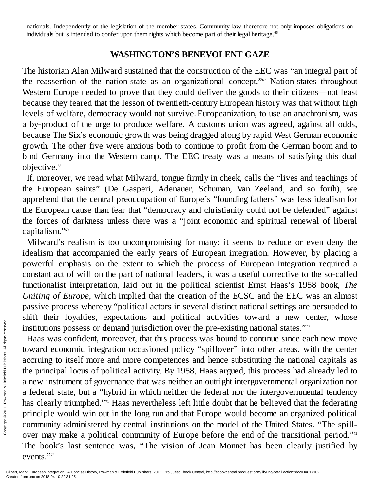nationals. Independently of the legislation of the member states, Community law therefore not only imposes obligations on individuals but is intended to confer upon them rights which become part of their legal heritage. $^{66}$ 

### **WASHINGTON'S BENEVOLENT GAZE**

The historian Alan Milward sustained that the construction of the EEC was "an integral part of the reassertion of the nation-state as an organizational concept."<sup>67</sup> Nation-states throughout Western Europe needed to prove that they could deliver the goods to their citizens—not least because they feared that the lesson of twentieth-century European history was that without high levels of welfare, democracy would not survive.Europeanization, to use an anachronism, was a by-product of the urge to produce welfare. A customs union was agreed, against all odds, because The Six's economic growth was being dragged along by rapid West German economic growth. The other five were anxious both to continue to profit from the German boom and to bind Germany into the Western camp. The EEC treaty was a means of satisfying this dual objective. 68

If, moreover, we read what Milward, tongue firmly in cheek, calls the "lives and teachings of the European saints" (De Gasperi, Adenauer, Schuman, Van Zeeland, and so forth), we apprehend that the central preoccupation of Europe's "founding fathers" was less idealism for the European cause than fear that "democracy and christianity could not be defended" against the forces of darkness unless there was a "joint economic and spiritual renewal of liberal capitalism." 69

Milward's realism is too uncompromising for many: it seems to reduce or even deny the idealism that accompanied the early years of European integration. However, by placing a powerful emphasis on the extent to which the process of European integration required a constant act of will on the part of national leaders, it was a useful corrective to the so-called functionalist interpretation, laid out in the political scientist Ernst Haas's 1958 book, *The Uniting of Europe*, which implied that the creation of the ECSC and the EEC was an almost passive process whereby "political actors in several distinct national settings are persuaded to shift their loyalties, expectations and political activities toward a new center, whose institutions possess or demand jurisdiction over the pre-existing national states."<sup>70</sup>

Haas was confident, moreover, that this process was bound to continue since each new move toward economic integration occasioned policy "spillover" into other areas, with the center accruing to itself more and more competences and hence substituting the national capitals as the principal locus of political activity. By 1958, Haas argued, this process had already led to a new instrument of governance that was neither an outright intergovernmental organization nor a federal state, but a "hybrid in which neither the federal nor the intergovernmental tendency has clearly triumphed."<sup>71</sup> Haas nevertheless left little doubt that he believed that the federating principle would win out in the long run and that Europe would become an organized political community administered by central institutions on the model of the United States. "The spillover may make a political community of Europe before the end of the transitional period."<sup>72</sup> The book's last sentence was, "The vision of Jean Monnet has been clearly justified by events."<sup>73</sup> Example the principal lots are the principal lots of the principal lots are the principal lots are the principal lots are the principle would community admove that  $\frac{1}{2}$  range  $\frac{1}{2}$  community admover may make  $\frac{$